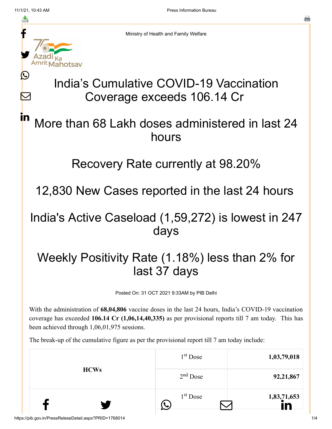Ŀ

 $\bm{\nabla}$ 

in



Ministry of Health and Family Welfare

# India's Cumulative COVID-19 Vaccination Coverage exceeds 106.14 Cr

### More than 68 Lakh doses administered in last 24 hours

#### Recovery Rate currently at 98.20%

12,830 New Cases reported in the last 24 hours

### India's Active Caseload (1,59,272) is lowest in 247 days

## Weekly Positivity Rate (1.18%) less than 2% for last 37 days

Posted On: 31 OCT 2021 9:33AM by PIB Delhi

With the administration of **68,04,806** vaccine doses in the last 24 hours, India's COVID-19 vaccination coverage has exceeded **106.14 Cr (1,06,14,40,335)** as per provisional reports till 7 am today. This has been achieved through 1,06,01,975 sessions.

The break-up of the cumulative figure as per the provisional report till 7 am today include:

| <b>HCWs</b> | 1 <sup>st</sup> Dose | 1,03,79,018 |
|-------------|----------------------|-------------|
|             | $2nd$ Dose           | 92,21,867   |
|             | $1st$ Dose           | 1,83,71,653 |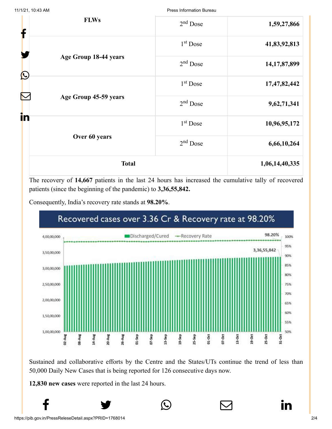11/1/21, 10:43 AM Press Information Bureau

| <b>FLWs</b><br>f |                       | $2nd$ Dose           | 1,59,27,866     |
|------------------|-----------------------|----------------------|-----------------|
|                  | 1 <sup>st</sup> Dose  | 41,83,92,813         |                 |
|                  | Age Group 18-44 years | $2nd$ Dose           | 14, 17, 87, 899 |
| $\bigcirc$       | Age Group 45-59 years | 1 <sup>st</sup> Dose | 17,47,82,442    |
|                  |                       | $2nd$ Dose           | 9,62,71,341     |
| in               | 1 <sup>st</sup> Dose  | 10,96,95,172         |                 |
|                  | Over 60 years         | $2nd$ Dose           | 6,66,10,264     |
| <b>Total</b>     |                       | 1,06,14,40,335       |                 |

The recovery of **14,667** patients in the last 24 hours has increased the cumulative tally of recovered patients (since the beginning of the pandemic) to **3,36,55,842.**





Sustained and collaborative efforts by the Centre and the States/UTs continue the trend of less than 50,000 Daily New Cases that is being reported for 126 consecutive days now.

 $f$   $\rightarrow$   $\circ$   $\quad \circ$  in

**12,830 new cases** were reported in the last 24 hours.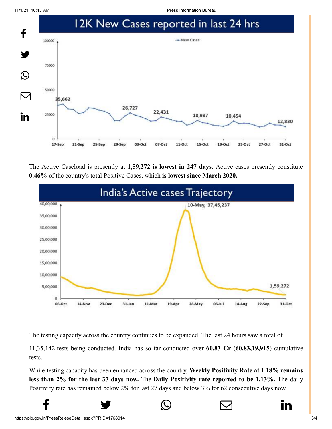11/1/21, 10:43 AM Press Information Bureau



The Active Caseload is presently at **1,59,272 is lowest in 247 days.** Active cases presently constitute **0.46%** of the country's total Positive Cases, which **is lowest since March 2020.**



The testing capacity across the country continues to be expanded. The last 24 hours saw a total of

11,35,142 tests being conducted. India has so far conducted over **60.83 Cr (60,83,19,915**) cumulative tests.

While testing capacity has been enhanced across the country, **Weekly Positivity Rate at 1.18% remains less than 2% for the last 37 days now.** The **Daily Positivity rate reported to be 1.13%.** The daily Positivity rate has remained below 2% for last 27 days and below 3% for 62 consecutive days now.

 $f$   $\rightarrow$   $\circ$   $\quad \circ$  in